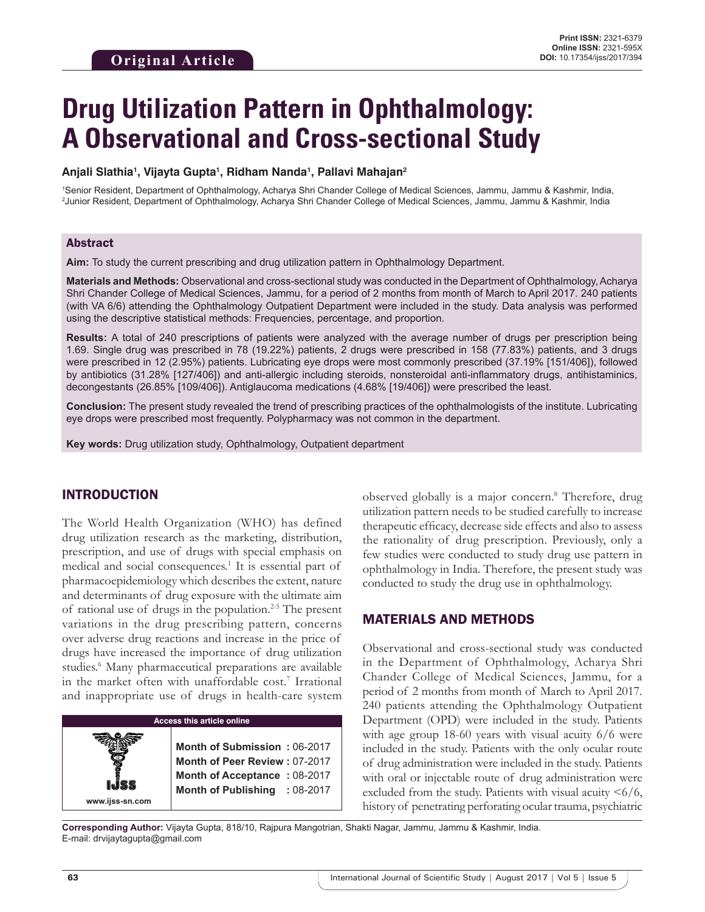# **Drug Utilization Pattern in Ophthalmology: A Observational and Cross-sectional Study**

#### **Anjali Slathia1 , Vijayta Gupta1 , Ridham Nanda1 , Pallavi Mahajan2**

1 Senior Resident, Department of Ophthalmology, Acharya Shri Chander College of Medical Sciences, Jammu, Jammu & Kashmir, India, 2 Junior Resident, Department of Ophthalmology, Acharya Shri Chander College of Medical Sciences, Jammu, Jammu & Kashmir, India

#### Abstract

**Aim:** To study the current prescribing and drug utilization pattern in Ophthalmology Department.

**Materials and Methods:** Observational and cross-sectional study was conducted in the Department of Ophthalmology, Acharya Shri Chander College of Medical Sciences, Jammu, for a period of 2 months from month of March to April 2017. 240 patients (with VA 6/6) attending the Ophthalmology Outpatient Department were included in the study. Data analysis was performed using the descriptive statistical methods: Frequencies, percentage, and proportion.

**Results:** A total of 240 prescriptions of patients were analyzed with the average number of drugs per prescription being 1.69. Single drug was prescribed in 78 (19.22%) patients, 2 drugs were prescribed in 158 (77.83%) patients, and 3 drugs were prescribed in 12 (2.95%) patients. Lubricating eye drops were most commonly prescribed (37.19% [151/406]), followed by antibiotics (31.28% [127/406]) and anti-allergic including steroids, nonsteroidal anti-inflammatory drugs, antihistaminics, decongestants (26.85% [109/406]). Antiglaucoma medications (4.68% [19/406]) were prescribed the least.

**Conclusion:** The present study revealed the trend of prescribing practices of the ophthalmologists of the institute. Lubricating eye drops were prescribed most frequently. Polypharmacy was not common in the department.

**Key words:** Drug utilization study, Ophthalmology, Outpatient department

# INTRODUCTION

The World Health Organization (WHO) has defined drug utilization research as the marketing, distribution, prescription, and use of drugs with special emphasis on medical and social consequences.<sup>1</sup> It is essential part of pharmacoepidemiology which describes the extent, nature and determinants of drug exposure with the ultimate aim of rational use of drugs in the population.<sup>2-5</sup> The present variations in the drug prescribing pattern, concerns over adverse drug reactions and increase in the price of drugs have increased the importance of drug utilization studies.<sup>6</sup> Many pharmaceutical preparations are available in the market often with unaffordable cost.<sup>7</sup> Irrational and inappropriate use of drugs in health-care system



observed globally is a major concern.<sup>8</sup> Therefore, drug utilization pattern needs to be studied carefully to increase therapeutic efficacy, decrease side effects and also to assess the rationality of drug prescription. Previously, only a few studies were conducted to study drug use pattern in ophthalmology in India. Therefore, the present study was conducted to study the drug use in ophthalmology.

## MATERIALS AND METHODS

Observational and cross-sectional study was conducted in the Department of Ophthalmology, Acharya Shri Chander College of Medical Sciences, Jammu, for a period of 2 months from month of March to April 2017. 240 patients attending the Ophthalmology Outpatient Department (OPD) were included in the study. Patients with age group 18-60 years with visual acuity 6/6 were included in the study. Patients with the only ocular route of drug administration were included in the study. Patients with oral or injectable route of drug administration were excluded from the study. Patients with visual acuity  $\leq 6/6$ , history of penetrating perforating ocular trauma, psychiatric

**Corresponding Author:** Vijayta Gupta, 818/10, Rajpura Mangotrian, Shakti Nagar, Jammu, Jammu & Kashmir, India. E-mail: drvijaytagupta@gmail.com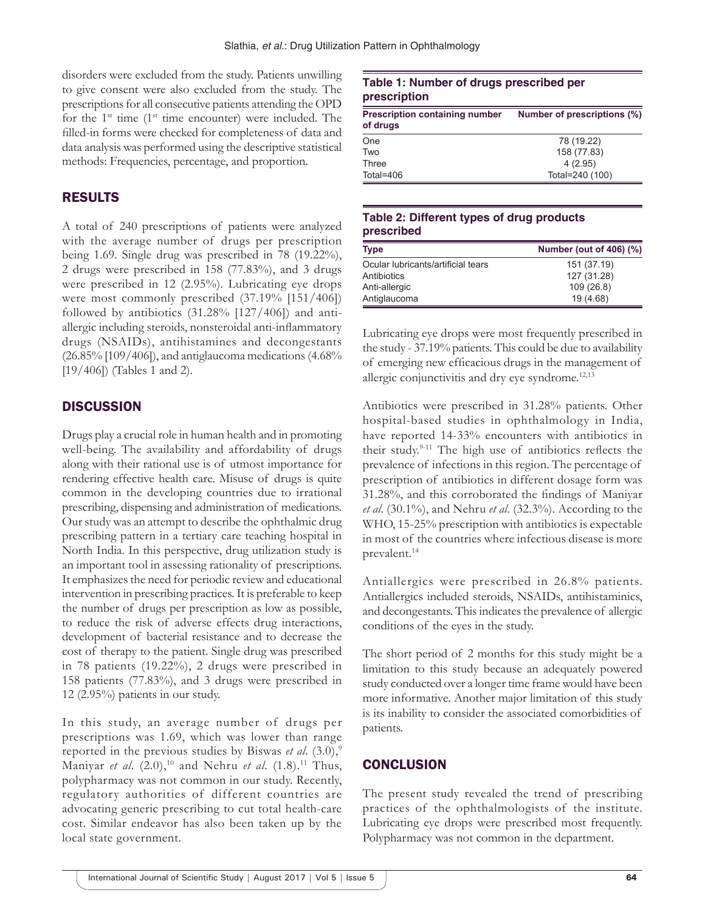disorders were excluded from the study. Patients unwilling to give consent were also excluded from the study. The prescriptions for all consecutive patients attending the OPD for the  $1<sup>st</sup>$  time ( $1<sup>st</sup>$  time encounter) were included. The filled-in forms were checked for completeness of data and data analysis was performed using the descriptive statistical methods: Frequencies, percentage, and proportion.

# RESULTS

A total of 240 prescriptions of patients were analyzed with the average number of drugs per prescription being 1.69. Single drug was prescribed in 78 (19.22%), 2 drugs were prescribed in 158 (77.83%), and 3 drugs were prescribed in 12 (2.95%). Lubricating eye drops were most commonly prescribed (37.19% [151/406]) followed by antibiotics (31.28% [127/406]) and antiallergic including steroids, nonsteroidal anti-inflammatory drugs (NSAIDs), antihistamines and decongestants (26.85% [109/406]), and antiglaucoma medications (4.68% [19/406]) (Tables 1 and 2).

## **DISCUSSION**

Drugs play a crucial role in human health and in promoting well-being. The availability and affordability of drugs along with their rational use is of utmost importance for rendering effective health care. Misuse of drugs is quite common in the developing countries due to irrational prescribing, dispensing and administration of medications. Our study was an attempt to describe the ophthalmic drug prescribing pattern in a tertiary care teaching hospital in North India. In this perspective, drug utilization study is an important tool in assessing rationality of prescriptions. It emphasizes the need for periodic review and educational intervention in prescribing practices. It is preferable to keep the number of drugs per prescription as low as possible, to reduce the risk of adverse effects drug interactions, development of bacterial resistance and to decrease the cost of therapy to the patient. Single drug was prescribed in 78 patients (19.22%), 2 drugs were prescribed in 158 patients (77.83%), and 3 drugs were prescribed in 12 (2.95%) patients in our study.

In this study, an average number of drugs per prescriptions was 1.69, which was lower than range reported in the previous studies by Biswas *et al.* (3.0),<sup>9</sup> Maniyar *et al.* (2.0),<sup>10</sup> and Nehru *et al.* (1.8).<sup>11</sup> Thus, polypharmacy was not common in our study. Recently, regulatory authorities of different countries are advocating generic prescribing to cut total health-care cost. Similar endeavor has also been taken up by the local state government.

#### **Table 1: Number of drugs prescribed per prescription**

| <b>Prescription containing number</b><br>of drugs | Number of prescriptions (%) |
|---------------------------------------------------|-----------------------------|
| One                                               | 78 (19.22)                  |
| Two                                               | 158 (77.83)                 |
| Three                                             | 4(2.95)                     |
| Total=406                                         | Total=240 (100)             |

## **Table 2: Different types of drug products prescribed**

| <b>Type</b>                        | Number (out of 406) (%) |
|------------------------------------|-------------------------|
| Ocular lubricants/artificial tears | 151 (37.19)             |
| Antibiotics                        | 127 (31.28)             |
| Anti-allergic                      | 109(26.8)               |
| Antiglaucoma                       | 19 (4.68)               |

Lubricating eye drops were most frequently prescribed in the study - 37.19% patients. This could be due to availability of emerging new efficacious drugs in the management of allergic conjunctivitis and dry eye syndrome.<sup>12,13</sup>

Antibiotics were prescribed in 31.28% patients. Other hospital-based studies in ophthalmology in India, have reported 14-33% encounters with antibiotics in their study.<sup>9-11</sup> The high use of antibiotics reflects the prevalence of infections in this region. The percentage of prescription of antibiotics in different dosage form was 31.28%, and this corroborated the findings of Maniyar *et al*. (30.1%), and Nehru *et al*. (32.3%). According to the WHO, 15-25% prescription with antibiotics is expectable in most of the countries where infectious disease is more prevalent.14

Antiallergics were prescribed in 26.8% patients. Antiallergics included steroids, NSAIDs, antihistaminics, and decongestants. This indicates the prevalence of allergic conditions of the eyes in the study.

The short period of 2 months for this study might be a limitation to this study because an adequately powered study conducted over a longer time frame would have been more informative. Another major limitation of this study is its inability to consider the associated comorbidities of patients.

# **CONCLUSION**

The present study revealed the trend of prescribing practices of the ophthalmologists of the institute. Lubricating eye drops were prescribed most frequently. Polypharmacy was not common in the department.